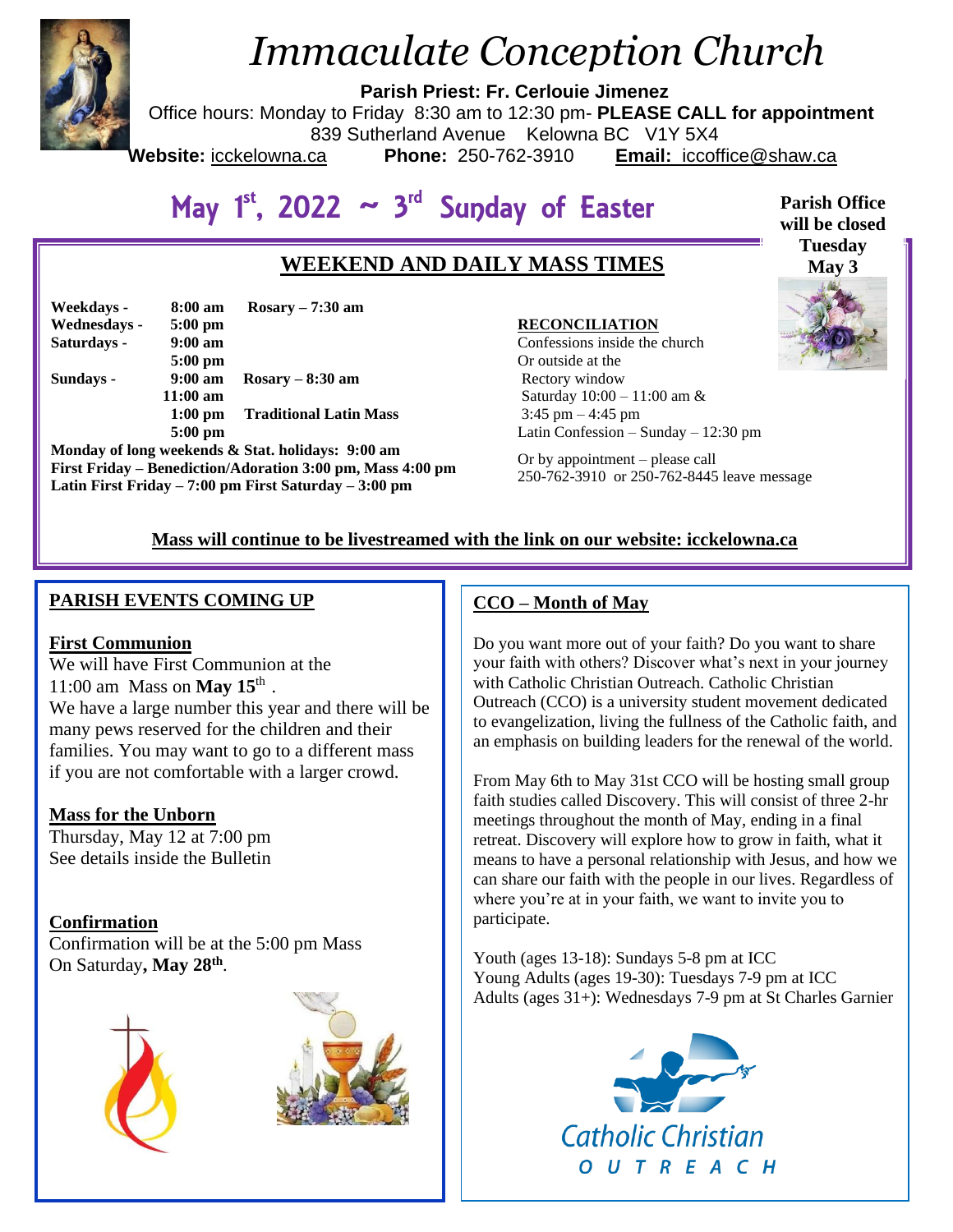

# *Immaculate Conception Church*

**Parish Priest: Fr. Cerlouie Jimenez**

Office hours: Monday to Friday 8:30 am to 12:30 pm- **PLEASE CALL for appointment**

839 Sutherland Avenue Kelowna BC V1Y 5X4

Website: icckelowna.ca

**Phone:** 250-762-3910 **Email:** iccoffice@shaw.ca

May  $1^{st}$ , 2022  $\sim 3^{rd}$  Sunday of Easter

# **WEEKEND AND DAILY MASS TIMES**

| Weekdays -   | 8:00 am           | $Rosary - 7:30$ am            |
|--------------|-------------------|-------------------------------|
| Wednesdays - | $5:00 \text{ pm}$ |                               |
| Saturdays -  | $9:00 \text{ am}$ |                               |
|              | $5:00$ pm         |                               |
| Sundays -    | $9:00 \text{ am}$ | $Rosary - 8:30$ am            |
|              | $11:00$ am        |                               |
|              | $1:00$ pm         | <b>Traditional Latin Mass</b> |
|              | $5:00$ pm         |                               |

**Monday of long weekends & Stat. holidays: 9:00 am First Friday – Benediction/Adoration 3:00 pm, Mass 4:00 pm Latin First Friday – 7:00 pm First Saturday – 3:00 pm** 

#### **RECONCILIATION**

Confessions inside the church Or outside at the Rectory window Saturday 10:00 – 11:00 am & 3:45 pm – 4:45 pm Latin Confession – Sunday – 12:30 pm

Or by appointment – please call 250-762-3910 or 250-762-8445 leave message

## **Mass will continue to be livestreamed with the link on our website: icckelowna.ca**

## **PARISH EVENTS COMING UP**

#### **First Communion**

We will have First Communion at the 11:00 am Mass on **May 15**th . We have a large number this year and there will be many pews reserved for the children and their families. You may want to go to a different mass if you are not comfortable with a larger crowd.

## **Mass for the Unborn**

Thursday, May 12 at 7:00 pm See details inside the Bulletin

## **Confirmation**

Confirmation will be at the 5:00 pm Mass On Saturday**, May 28th** .





## **CCO – Month of May**

Do you want more out of your faith? Do you want to share your faith with others? Discover what's next in your journey with Catholic Christian Outreach. Catholic Christian Outreach (CCO) is a university student movement dedicated to evangelization, living the fullness of the Catholic faith, and an emphasis on building leaders for the renewal of the world.

From May 6th to May 31st CCO will be hosting small group faith studies called Discovery. This will consist of three 2-hr meetings throughout the month of May, ending in a final retreat. Discovery will explore how to grow in faith, what it means to have a personal relationship with Jesus, and how we can share our faith with the people in our lives. Regardless of where you're at in your faith, we want to invite you to participate.

Youth (ages 13-18): Sundays 5-8 pm at ICC Young Adults (ages 19-30): Tuesdays 7-9 pm at ICC Adults (ages 31+): Wednesdays 7-9 pm at St Charles Garnier



**Parish Office will be closed Tuesday May 3** 

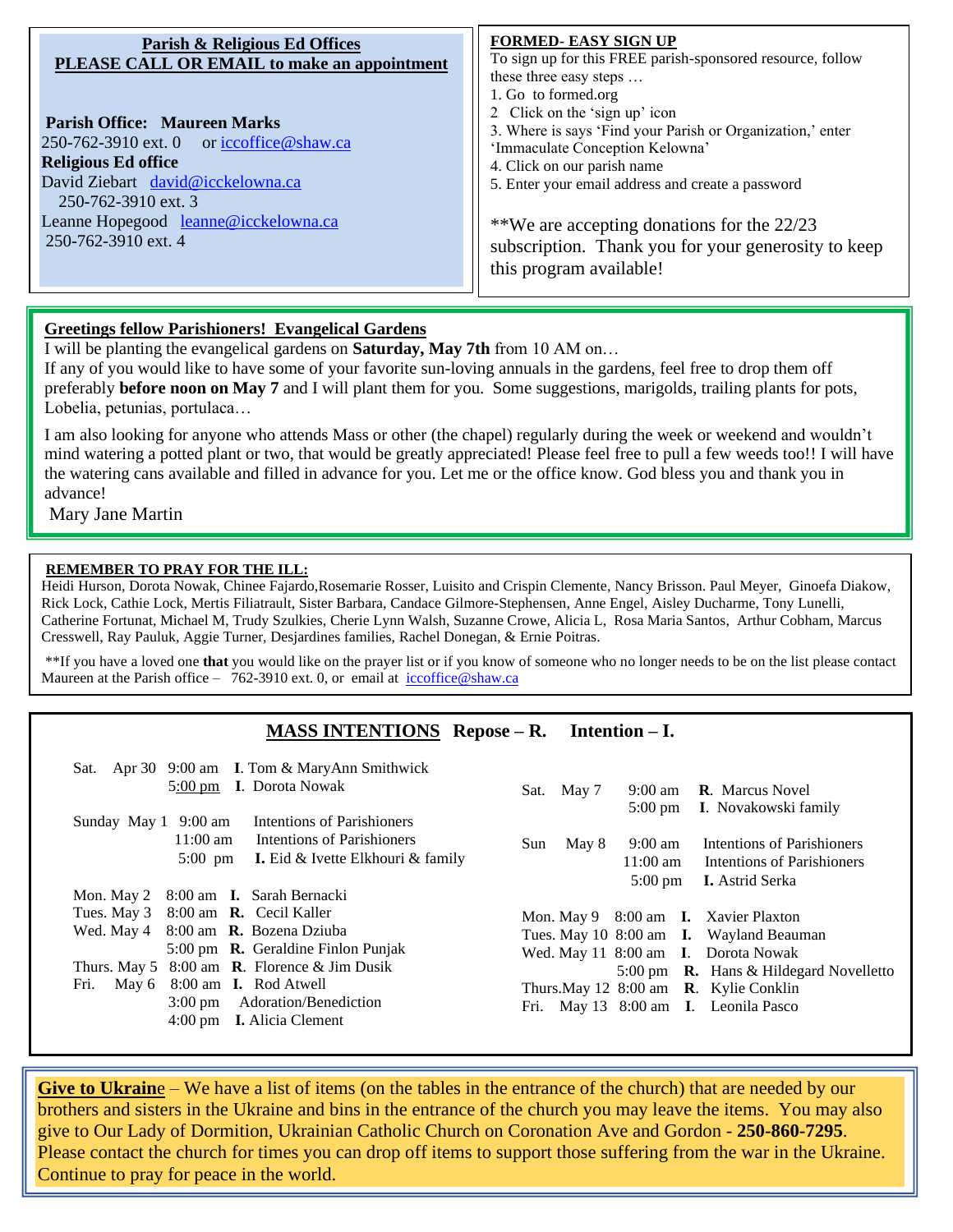| <b>Parish &amp; Religious Ed Offices</b><br>PLEASE CALL OR EMAIL to make an appointment<br><b>Parish Office: Maureen Marks</b><br>250-762-3910 ext. 0 or iccoffice @shaw.ca<br><b>Religious Ed office</b><br>David Ziebart david@icckelowna.ca<br>250-762-3910 ext. 3<br>Leanne Hopegood leanne@icckelowna.ca<br>250-762-3910 ext. 4 | <b>FORMED- EASY SIGN UP</b><br>To sign up for this FREE parish-sponsored resource, follow<br>these three easy steps<br>1. Go to formed.org<br>2 Click on the 'sign up' icon<br>3. Where is says 'Find your Parish or Organization,' enter<br>'Immaculate Conception Kelowna'<br>4. Click on our parish name<br>5. Enter your email address and create a password<br>**We are accepting donations for the 22/23<br>subscription. Thank you for your generosity to keep |
|--------------------------------------------------------------------------------------------------------------------------------------------------------------------------------------------------------------------------------------------------------------------------------------------------------------------------------------|-----------------------------------------------------------------------------------------------------------------------------------------------------------------------------------------------------------------------------------------------------------------------------------------------------------------------------------------------------------------------------------------------------------------------------------------------------------------------|
|                                                                                                                                                                                                                                                                                                                                      | this program available!                                                                                                                                                                                                                                                                                                                                                                                                                                               |

#### **Greetings fellow Parishioners! Evangelical Gardens**

I will be planting the evangelical gardens on **Saturday, May 7th** from 10 AM on…

If any of you would like to have some of your favorite sun-loving annuals in the gardens, feel free to drop them off preferably **before noon on May 7** and I will plant them for you. Some suggestions, marigolds, trailing plants for pots, Lobelia, petunias, portulaca…

I am also looking for anyone who attends Mass or other (the chapel) regularly during the week or weekend and wouldn't mind watering a potted plant or two, that would be greatly appreciated! Please feel free to pull a few weeds too!! I will have the watering cans available and filled in advance for you. Let me or the office know. God bless you and thank you in advance!

Mary Jane Martin

j

#### **REMEMBER TO PRAY FOR THE ILL:**

Heidi Hurson, Dorota Nowak, Chinee Fajardo,Rosemarie Rosser, Luisito and Crispin Clemente, Nancy Brisson. Paul Meyer, Ginoefa Diakow, Rick Lock, Cathie Lock, Mertis Filiatrault, Sister Barbara, Candace Gilmore-Stephensen, Anne Engel, Aisley Ducharme, Tony Lunelli, Catherine Fortunat, Michael M, Trudy Szulkies, Cherie Lynn Walsh, Suzanne Crowe, Alicia L, Rosa Maria Santos, Arthur Cobham, Marcus Cresswell, Ray Pauluk, Aggie Turner, Desjardines families, Rachel Donegan, & Ernie Poitras.

\*\*If you have a loved one **that** you would like on the prayer list or if you know of someone who no longer needs to be on the list please contact Maureen at the Parish office – 762-3910 ext. 0, or email at  $iccoffice@shaw.ca$ 

#### **MASS INTENTIONS Repose – R. Intention – I.**

| Sat. Apr 30 9:00 am I. Tom & MaryAnn Smithwick<br>5:00 pm I. Dorota Nowak                                                                                                                                                                                                                                                                                                         | 9:00 am <b>R</b> . Marcus Novel<br>May 7<br>Sat.<br>5:00 pm I. Novakowski family                                                                                                                                                                                                                                            |
|-----------------------------------------------------------------------------------------------------------------------------------------------------------------------------------------------------------------------------------------------------------------------------------------------------------------------------------------------------------------------------------|-----------------------------------------------------------------------------------------------------------------------------------------------------------------------------------------------------------------------------------------------------------------------------------------------------------------------------|
| Intentions of Parishioners<br>Sunday May 1 9:00 am<br>$11:00 \text{ am}$<br>Intentions of Parishioners<br><b>I.</b> Eid & Ivette Elkhouri & family<br>$5:00 \text{ pm}$                                                                                                                                                                                                           | Intentions of Parishioners<br>May 8<br>9:00 am<br>Sun<br>11:00 am Intentions of Parishioners                                                                                                                                                                                                                                |
| Mon. May 2 8:00 am <b>I.</b> Sarah Bernacki<br>8:00 am R. Cecil Kaller<br>Tues. May 3<br>Wed. May $4 \quad 8:00$ am <b>R.</b> Bozena Dziuba<br>5:00 pm $\,$ <b>R.</b> Geraldine Finlon Punjak<br>Thurs. May 5 $8:00$ am <b>R</b> . Florence & Jim Dusik<br>May $6\quad 8:00$ am <b>I.</b> Rod Atwell<br>Fri.<br>3:00 pm Adoration/Benediction<br>4:00 pm <b>I.</b> Alicia Clement | $5:00 \text{ pm}$<br><b>I.</b> Astrid Serka<br>Mon. May 9 8:00 am <b>I.</b> Xavier Plaxton<br>Tues. May 10 8:00 am <b>I.</b> Wayland Beauman<br>Wed. May 11 8:00 am I. Dorota Nowak<br>5:00 pm $\,$ <b>R.</b> Hans & Hildegard Novelletto<br>Thurs. May 12 8:00 am R. Kylie Conklin<br>Fri. May 13 8:00 am I. Leonila Pasco |

**Give to Ukraine** – We have a list of items (on the tables in the entrance of the church) that are needed by our brothers and sisters in the Ukraine and bins in the entrance of the church you may leave the items. You may also give to Our Lady of Dormition, Ukrainian Catholic Church on Coronation Ave and Gordon - **250-860-7295**. Please contact the church for times you can drop off items to support those suffering from the war in the Ukraine. Continue to pray for peace in the world.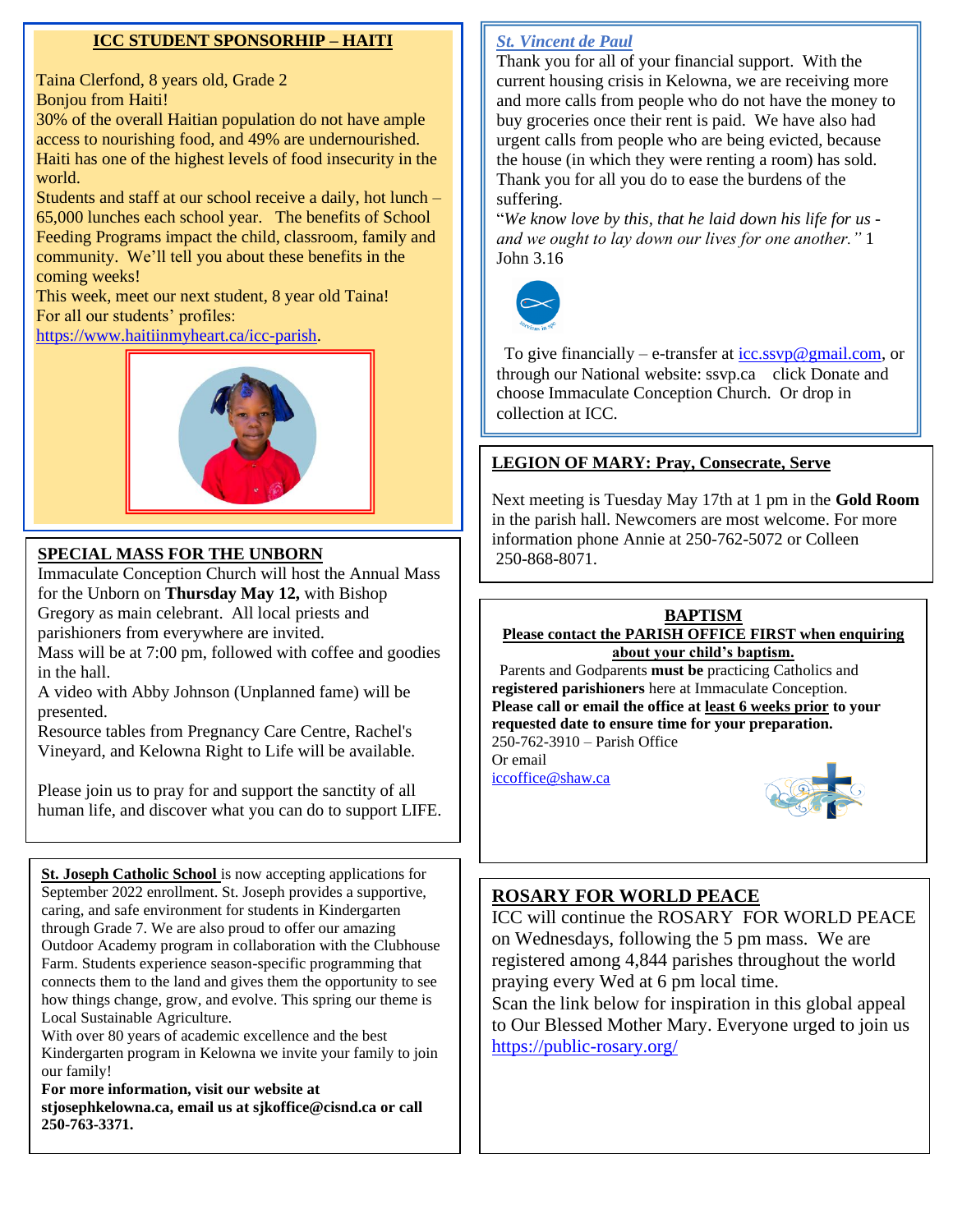### **ICC STUDENT SPONSORHIP – HAITI**

Taina Clerfond, 8 years old, Grade 2 Bonjou from Haiti!

30% of the overall Haitian population do not have ample access to nourishing food, and 49% are undernourished. Haiti has one of the highest levels of food insecurity in the world.

Students and staff at our school receive a daily, hot lunch – 65,000 lunches each school year. The benefits of School Feeding Programs impact the child, classroom, family and community. We'll tell you about these benefits in the coming weeks!

This week, meet our next student, 8 year old Taina! For all our students' profiles:

[https://www.haitiinmyheart.ca/icc-parish.](https://www.haitiinmyheart.ca/icc-parish)



## 250-868-8071. **SPECIAL MASS FOR THE UNBORN**

Immaculate Conception Church will host the Annual Mass for the Unborn on **Thursday May 12,** with Bishop Gregory as main celebrant. All local priests and parishioners from everywhere are invited.

Mass will be at 7:00 pm, followed with coffee and goodies in the hall.

A video with Abby Johnson (Unplanned fame) will be presented.

Resource tables from Pregnancy Care Centre, Rachel's Vineyard, and Kelowna Right to Life will be available.

Please join us to pray for and support the sanctity of all human life, and discover what you can do to support LIFE.

**St. Joseph Catholic School** is now accepting applications for September 2022 enrollment. St. Joseph provides a supportive, caring, and safe environment for students in Kindergarten through Grade 7. We are also proud to offer our amazing Outdoor Academy program in collaboration with the Clubhouse Farm. Students experience season-specific programming that connects them to the land and gives them the opportunity to see how things change, grow, and evolve. This spring our theme is Local Sustainable Agriculture.

With over 80 years of academic excellence and the best Kindergarten program in Kelowna we invite your family to join our family!

**For more information, visit our website at stjosephkelowna.ca, email us at sjkoffice@cisnd.ca or call 250-763-3371.**

### *St. Vincent de Paul*

Thank you for all of your financial support. With the current housing crisis in Kelowna, we are receiving more and more calls from people who do not have the money to buy groceries once their rent is paid. We have also had urgent calls from people who are being evicted, because the house (in which they were renting a room) has sold. Thank you for all you do to ease the burdens of the suffering.

"*We know love by this, that he laid down his life for us and we ought to lay down our lives for one another."* 1 John 3.16



To give financially – e-transfer at  $\text{icc}$ .ssyp@gmail.com, or through our National website: ssvp.ca click Donate and choose Immaculate Conception Church. Or drop in collection at ICC.

## **LEGION OF MARY: Pray, Consecrate, Serve**

Next meeting is Tuesday May 17th at 1 pm in the **Gold Room** in the parish hall. Newcomers are most welcome. For more information phone Annie at 250-762-5072 or Colleen



**Please contact the PARISH OFFICE FIRST when enquiring** 

**about your child's baptism.**  Parents and Godparents **must be** practicing Catholics and **registered parishioners** here at Immaculate Conception. **Please call or email the office at least 6 weeks prior to your requested date to ensure time for your preparation.**  250-762-3910 – Parish Office

Or email

[iccoffice@shaw.ca](mailto:iccoffice@shaw.ca) 



## **ROSARY FOR WORLD PEACE**

ICC will continue the ROSARY FOR WORLD PEACE on Wednesdays, following the 5 pm mass. We are registered among 4,844 parishes throughout the world praying every Wed at 6 pm local time.

Scan the link below for inspiration in this global appeal to Our Blessed Mother Mary. Everyone urged to join us <https://public-rosary.org/>